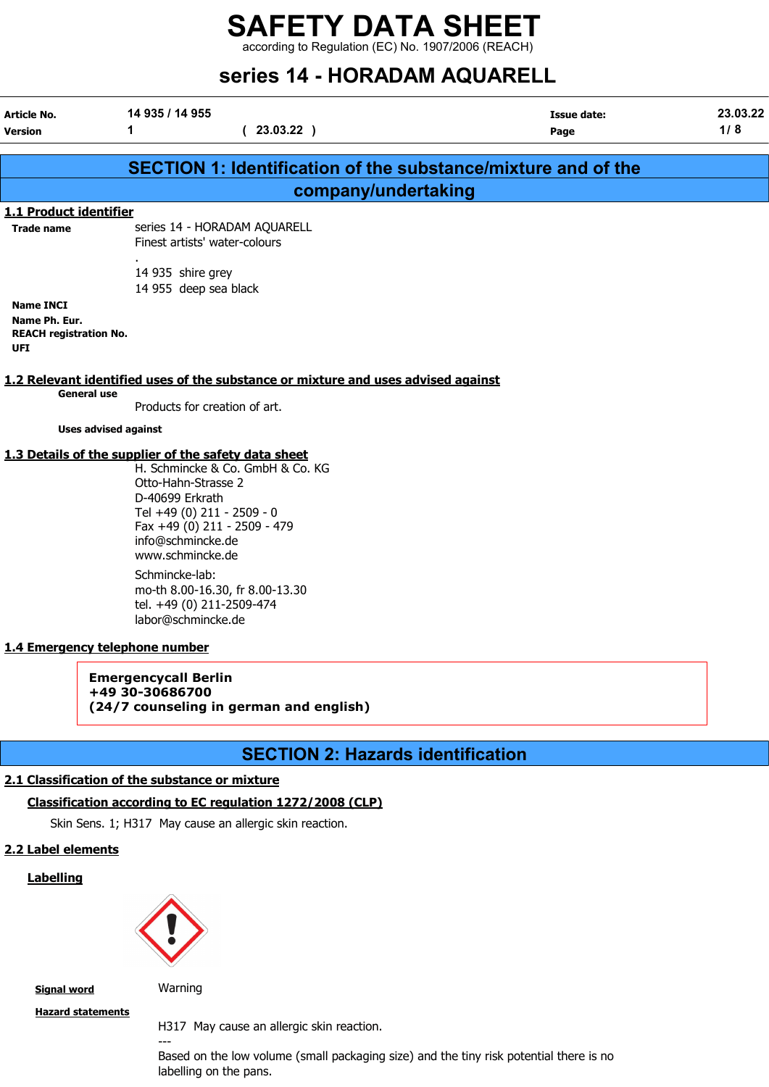according to Regulation (EC) No. 1907/2006 (REACH)

# series 14 - HORADAM AQUARELL

| Article No.<br><b>Version</b>                                             | 14 935 / 14 955<br>1<br>(23.03.22)                                                                                                                                                                                                                                                                                                                                                                                 |                                          | <b>Issue date:</b><br>Page                                    | 23.03.22<br>1/8 |
|---------------------------------------------------------------------------|--------------------------------------------------------------------------------------------------------------------------------------------------------------------------------------------------------------------------------------------------------------------------------------------------------------------------------------------------------------------------------------------------------------------|------------------------------------------|---------------------------------------------------------------|-----------------|
|                                                                           |                                                                                                                                                                                                                                                                                                                                                                                                                    |                                          |                                                               |                 |
|                                                                           |                                                                                                                                                                                                                                                                                                                                                                                                                    |                                          | SECTION 1: Identification of the substance/mixture and of the |                 |
|                                                                           |                                                                                                                                                                                                                                                                                                                                                                                                                    | company/undertaking                      |                                                               |                 |
| 1.1 Product identifier<br><b>Trade name</b>                               | series 14 - HORADAM AQUARELL<br>Finest artists' water-colours                                                                                                                                                                                                                                                                                                                                                      |                                          |                                                               |                 |
|                                                                           | 14 935 shire grey<br>14 955 deep sea black                                                                                                                                                                                                                                                                                                                                                                         |                                          |                                                               |                 |
| <b>Name INCI</b><br>Name Ph. Eur.<br><b>REACH registration No.</b><br>UFI |                                                                                                                                                                                                                                                                                                                                                                                                                    |                                          |                                                               |                 |
| <b>General use</b>                                                        | 1.2 Relevant identified uses of the substance or mixture and uses advised against                                                                                                                                                                                                                                                                                                                                  |                                          |                                                               |                 |
|                                                                           | Products for creation of art.<br><b>Uses advised against</b>                                                                                                                                                                                                                                                                                                                                                       |                                          |                                                               |                 |
|                                                                           |                                                                                                                                                                                                                                                                                                                                                                                                                    |                                          |                                                               |                 |
|                                                                           | 1.3 Details of the supplier of the safety data sheet<br>H. Schmincke & Co. GmbH & Co. KG<br>Otto-Hahn-Strasse 2<br>D-40699 Erkrath<br>Tel +49 (0) 211 - 2509 - 0<br>Fax +49 (0) 211 - 2509 - 479<br>info@schmincke.de<br>www.schmincke.de<br>Schmincke-lab:<br>mo-th 8.00-16.30, fr 8.00-13.30<br>tel. +49 (0) 211-2509-474<br>labor@schmincke.de<br>1.4 Emergency telephone number<br><b>Emergencycall Berlin</b> |                                          |                                                               |                 |
|                                                                           | +49 30-30686700<br>(24/7 counseling in german and english)                                                                                                                                                                                                                                                                                                                                                         |                                          |                                                               |                 |
|                                                                           |                                                                                                                                                                                                                                                                                                                                                                                                                    | <b>SECTION 2: Hazards identification</b> |                                                               |                 |
|                                                                           | 2.1 Classification of the substance or mixture                                                                                                                                                                                                                                                                                                                                                                     |                                          |                                                               |                 |
|                                                                           | Classification according to EC regulation 1272/2008 (CLP)                                                                                                                                                                                                                                                                                                                                                          |                                          |                                                               |                 |
|                                                                           | Skin Sens. 1; H317 May cause an allergic skin reaction.                                                                                                                                                                                                                                                                                                                                                            |                                          |                                                               |                 |
| 2.2 Label elements                                                        |                                                                                                                                                                                                                                                                                                                                                                                                                    |                                          |                                                               |                 |
| <b>Labelling</b>                                                          |                                                                                                                                                                                                                                                                                                                                                                                                                    |                                          |                                                               |                 |
|                                                                           |                                                                                                                                                                                                                                                                                                                                                                                                                    |                                          |                                                               |                 |
| <b>Signal word</b>                                                        | Warning                                                                                                                                                                                                                                                                                                                                                                                                            |                                          |                                                               |                 |

Hazard statements

H317 May cause an allergic skin reaction.

--- Based on the low volume (small packaging size) and the tiny risk potential there is no labelling on the pans.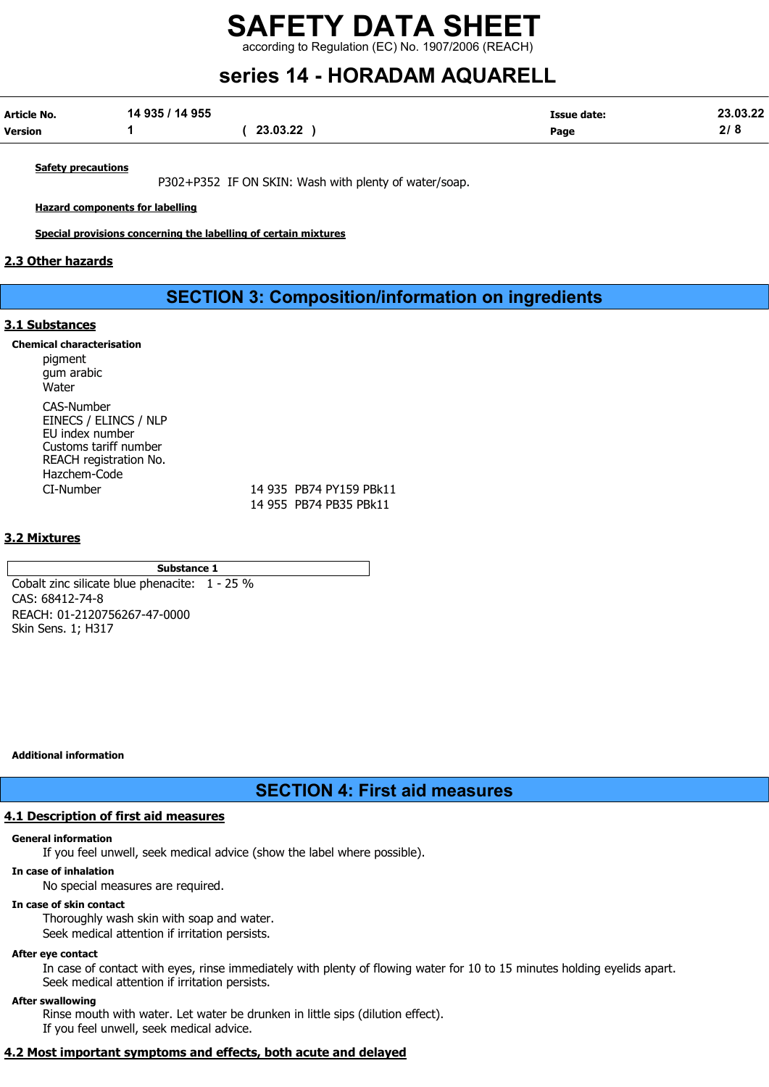according to Regulation (EC) No. 1907/2006 (REACH)

# series 14 - HORADAM AQUARELL

| Article No.    | 14 935 / 14 955 |          | <b>Issue date:</b> | 23.03.22      |
|----------------|-----------------|----------|--------------------|---------------|
| <b>Version</b> |                 | 23.03.22 | Page               | 0 ו ה<br>21 O |

**Safety precautions** 

P302+P352 IF ON SKIN: Wash with plenty of water/soap.

Hazard components for labelling

Special provisions concerning the labelling of certain mixtures

#### 2.3 Other hazards

## SECTION 3: Composition/information on ingredients

#### 3.1 Substances

#### Chemical characterisation

pigment gum arabic Water CAS-Number EINECS / ELINCS / NLP EU index number Customs tariff number REACH registration No. Hazchem-Code CI-Number 14 935 PB74 PY159 PBk11

14 955 PB74 PB35 PBk11

#### 3.2 Mixtures

#### Substance 1

Cobalt zinc silicate blue phenacite: 1 - 25 % CAS: 68412-74-8 REACH: 01-2120756267-47-0000 Skin Sens. 1; H317

Additional information

SECTION 4: First aid measures

#### 4.1 Description of first aid measures

#### General information

If you feel unwell, seek medical advice (show the label where possible).

#### In case of inhalation

No special measures are required.

#### In case of skin contact

Thoroughly wash skin with soap and water. Seek medical attention if irritation persists.

#### After eye contact

In case of contact with eyes, rinse immediately with plenty of flowing water for 10 to 15 minutes holding eyelids apart. Seek medical attention if irritation persists.

#### After swallowing

Rinse mouth with water. Let water be drunken in little sips (dilution effect). If you feel unwell, seek medical advice.

#### 4.2 Most important symptoms and effects, both acute and delayed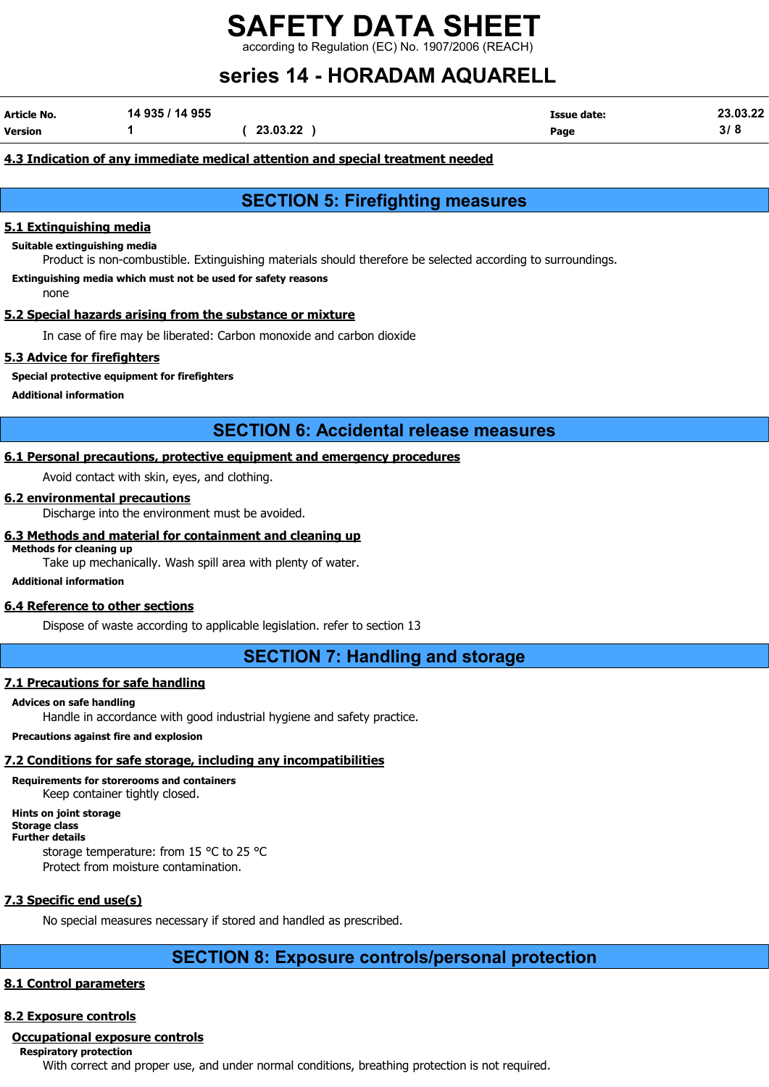ng to Regulation (EC) No. 1907/2006 (REACH)

# series 14 - HORADAM AQUARELL

| Article No.    | 14 935 / 14 955 |          | <b>Issue date:</b> | 23.03.22 |
|----------------|-----------------|----------|--------------------|----------|
| <b>Version</b> |                 | 23.03.22 | Page               | ა  ი     |

#### 4.3 Indication of any immediate medical attention and special treatment needed

## SECTION 5: Firefighting measures

#### 5.1 Extinguishing media

Suitable extinguishing media

Product is non-combustible. Extinguishing materials should therefore be selected according to surroundings.

Extinguishing media which must not be used for safety reasons

none

#### 5.2 Special hazards arising from the substance or mixture

In case of fire may be liberated: Carbon monoxide and carbon dioxide

#### 5.3 Advice for firefighters

Special protective equipment for firefighters

Additional information

### SECTION 6: Accidental release measures

### 6.1 Personal precautions, protective equipment and emergency procedures

Avoid contact with skin, eyes, and clothing.

#### 6.2 environmental precautions

Discharge into the environment must be avoided.

#### 6.3 Methods and material for containment and cleaning up

Methods for cleaning up

Take up mechanically. Wash spill area with plenty of water.

#### Additional information

#### 6.4 Reference to other sections

Dispose of waste according to applicable legislation. refer to section 13

SECTION 7: Handling and storage

#### 7.1 Precautions for safe handling

#### Advices on safe handling

Handle in accordance with good industrial hygiene and safety practice.

#### Precautions against fire and explosion

#### 7.2 Conditions for safe storage, including any incompatibilities

### Requirements for storerooms and containers

Keep container tightly closed.

Hints on joint storage

Storage class

Further details

storage temperature: from 15 °C to 25 °C Protect from moisture contamination.

#### 7.3 Specific end use(s)

No special measures necessary if stored and handled as prescribed.

### SECTION 8: Exposure controls/personal protection

#### 8.1 Control parameters

#### 8.2 Exposure controls

#### Occupational exposure controls

Respiratory protection

With correct and proper use, and under normal conditions, breathing protection is not required.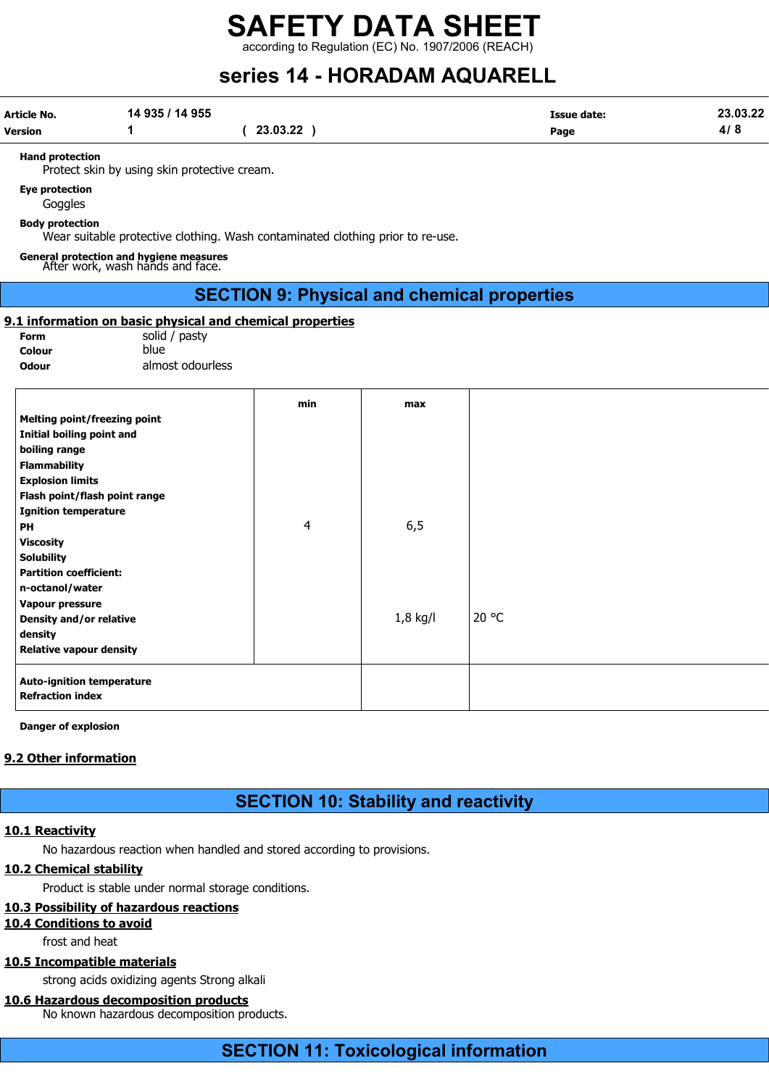according to Regulation (EC) No. 1907/2006 (REACH)

# series 14 - HORADAM AQUARELL

| Article No. | 14 935 / 14 955 |          | <b>Issue date:</b> | 23.03.22 |
|-------------|-----------------|----------|--------------------|----------|
| Version     |                 | 23.03.22 | Page               | 4/8      |

Hand protection

Protect skin by using skin protective cream.

#### Eye protection

Goggles

Body protection

Wear suitable protective clothing. Wash contaminated clothing prior to re-use.

## General protection and hygiene measures After work, wash hands and face.

### SECTION 9: Physical and chemical properties

#### 9.1 information on basic physical and chemical properties

Form solid / pasty Colour blue

Odour almost odourless

|                                  | min | max        |       |
|----------------------------------|-----|------------|-------|
| Melting point/freezing point     |     |            |       |
| Initial boiling point and        |     |            |       |
| boiling range                    |     |            |       |
| <b>Flammability</b>              |     |            |       |
| <b>Explosion limits</b>          |     |            |       |
| Flash point/flash point range    |     |            |       |
| <b>Ignition temperature</b>      |     |            |       |
| PH                               | 4   | 6, 5       |       |
| <b>Viscosity</b>                 |     |            |       |
| <b>Solubility</b>                |     |            |       |
| <b>Partition coefficient:</b>    |     |            |       |
| n-octanol/water                  |     |            |       |
| <b>Vapour pressure</b>           |     |            |       |
| Density and/or relative          |     | $1,8$ kg/l | 20 °C |
| density                          |     |            |       |
| <b>Relative vapour density</b>   |     |            |       |
| <b>Auto-ignition temperature</b> |     |            |       |
| <b>Refraction index</b>          |     |            |       |

Danger of explosion

#### 9.2 Other information

## SECTION 10: Stability and reactivity

#### 10.1 Reactivity

No hazardous reaction when handled and stored according to provisions.

#### 10.2 Chemical stability

Product is stable under normal storage conditions.

### 10.3 Possibility of hazardous reactions

10.4 Conditions to avoid

frost and heat

### 10.5 Incompatible materials

strong acids oxidizing agents Strong alkali

#### 10.6 Hazardous decomposition products

No known hazardous decomposition products.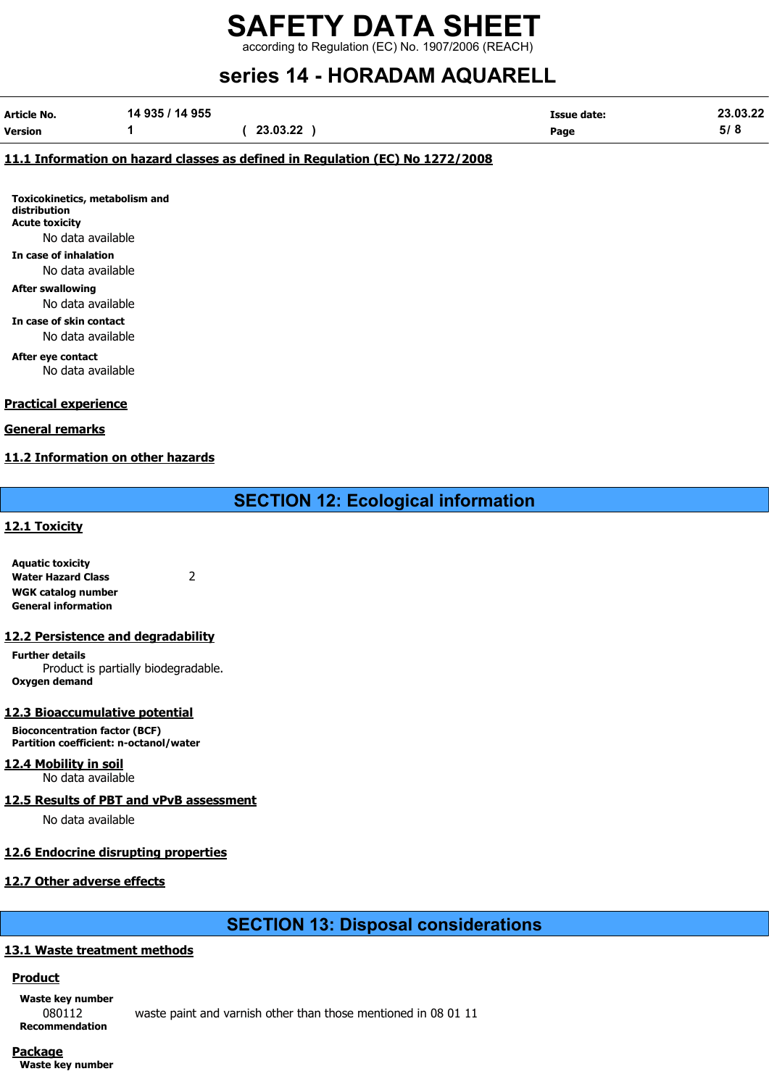according to Regulation (EC) No. 1907/2006 (REACH)

# series 14 - HORADAM AQUARELL

| Article No. | 14 935 / 14 955 |          | <b>Issue date:</b> | 23.03.22            |
|-------------|-----------------|----------|--------------------|---------------------|
| Version     |                 | 23.03.22 | Page               | <b>21 O</b><br>ວ/ ໐ |

#### 11.1 Information on hazard classes as defined in Regulation (EC) No 1272/2008

Toxicokinetics, metabolism and distribution Acute toxicity No data available

In case of inhalation

#### No data available

After swallowing

No data available

In case of skin contact No data available

After eye contact

No data available

#### Practical experience

#### General remarks

#### 11.2 Information on other hazards

SECTION 12: Ecological information

#### 12.1 Toxicity

Aquatic toxicity Water Hazard Class 2 WGK catalog number General information

#### 12.2 Persistence and degradability

Further details Product is partially biodegradable. Oxygen demand

#### 12.3 Bioaccumulative potential

Bioconcentration factor (BCF) Partition coefficient: n-octanol/water

#### 12.4 Mobility in soil

No data available

#### 12.5 Results of PBT and vPvB assessment

No data available

#### 12.6 Endocrine disrupting properties

#### 12.7 Other adverse effects

### SECTION 13: Disposal considerations

#### 13.1 Waste treatment methods

#### Product

Waste key number Recommendation

080112 waste paint and varnish other than those mentioned in 08 01 11

#### Package

Waste key number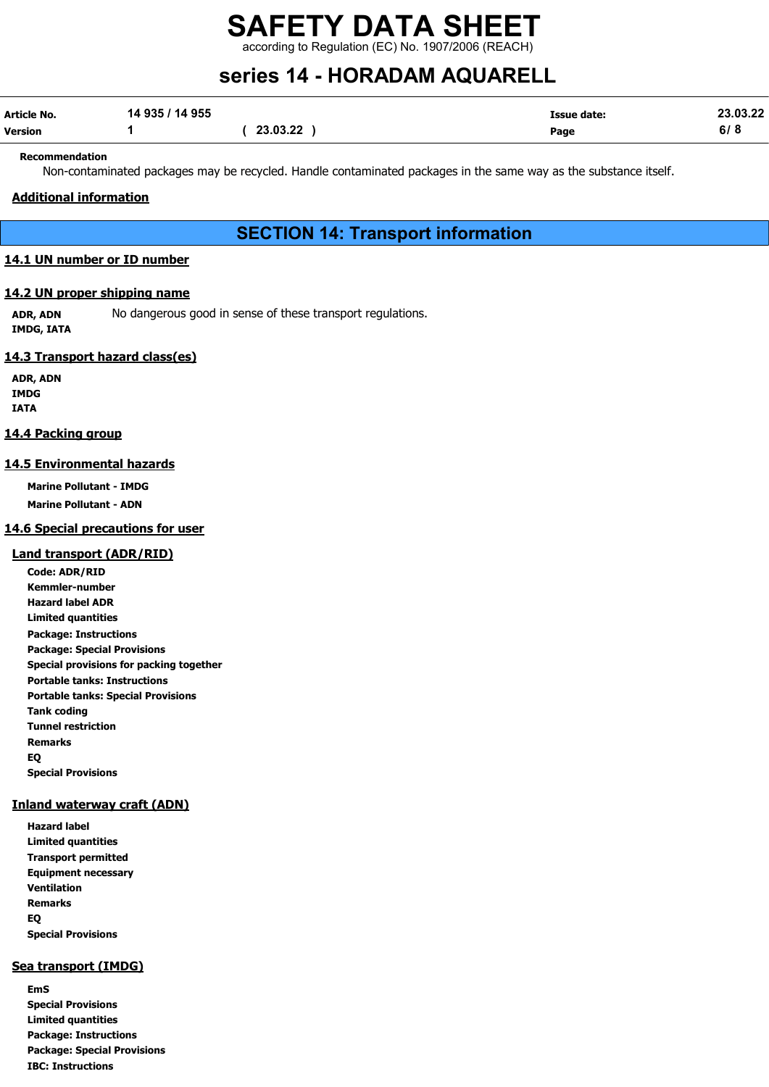according to Regulation (EC) No. 1907/2006 (REACH)

# series 14 - HORADAM AQUARELL

| Article No. | 14 935 / 14 955 |          | <b>Issue date:</b> | 23.03.22 |
|-------------|-----------------|----------|--------------------|----------|
| Version     |                 | 23.03.22 | Page               | 6/8      |

#### Recommendation

Non-contaminated packages may be recycled. Handle contaminated packages in the same way as the substance itself.

#### Additional information

## SECTION 14: Transport information

#### 14.1 UN number or ID number

#### 14.2 UN proper shipping name

ADR, ADN No dangerous good in sense of these transport regulations. IMDG, IATA

#### 14.3 Transport hazard class(es)

ADR, ADN IMDG IATA

#### 14.4 Packing group

#### 14.5 Environmental hazards

Marine Pollutant - IMDG

Marine Pollutant - ADN

#### 14.6 Special precautions for user

#### Land transport (ADR/RID)

Code: ADR/RID Kemmler-number Hazard label ADR Limited quantities Package: Instructions Package: Special Provisions Special provisions for packing together Portable tanks: Instructions Portable tanks: Special Provisions Tank coding Tunnel restriction Remarks EQ Special Provisions

#### Inland waterway craft (ADN)

Hazard label Limited quantities Transport permitted Equipment necessary Ventilation Remarks EQ Special Provisions

#### Sea transport (IMDG)

EmS Special Provisions Limited quantities Package: Instructions Package: Special Provisions IBC: Instructions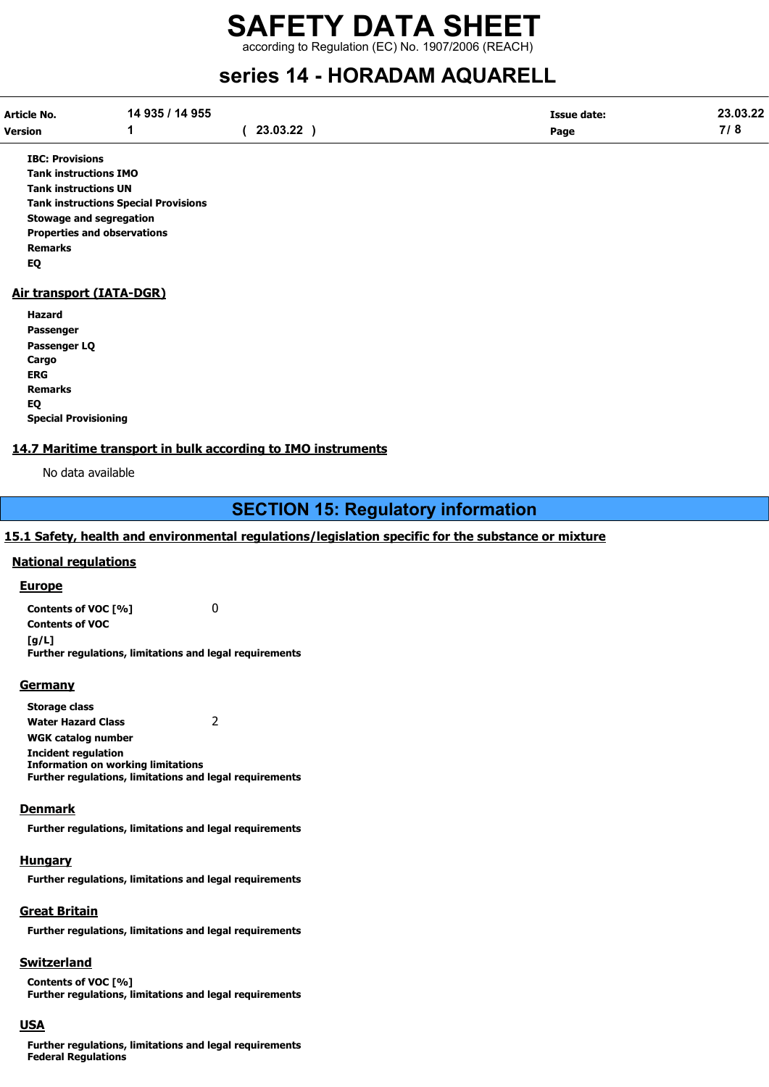according to Regulation (EC) No. 1907/2006 (REACH)

# series 14 - HORADAM AQUARELL

| Article No.    | 14 935 / 14 955 |          | Issue date: | 23.03.22 |
|----------------|-----------------|----------|-------------|----------|
| <b>Version</b> |                 | 23.03.22 | Page        | 710      |

IBC: Provisions Tank instructions IMO Tank instructions UN Tank instructions Special Provisions Stowage and segregation Properties and observations Remarks EQ

#### Air transport (IATA-DGR)

Hazard Passenger Passenger LQ **Cargo** ERG Remarks EQ Special Provisioning

#### 14.7 Maritime transport in bulk according to IMO instruments

No data available

## SECTION 15: Regulatory information

#### 15.1 Safety, health and environmental regulations/legislation specific for the substance or mixture

#### National regulations

**Europe** 

Contents of VOC [%] 0 Contents of VOC [g/L] Further regulations, limitations and legal requirements

#### **Germany**

Storage class Water Hazard Class 2 WGK catalog number Incident regulation Information on working limitations Further regulations, limitations and legal requirements

#### **Denmark**

Further regulations, limitations and legal requirements

#### **Hungary**

Further regulations, limitations and legal requirements

#### Great Britain

Further regulations, limitations and legal requirements

#### **Switzerland**

Contents of VOC [%] Further regulations, limitations and legal requirements

#### USA

Further regulations, limitations and legal requirements Federal Regulations